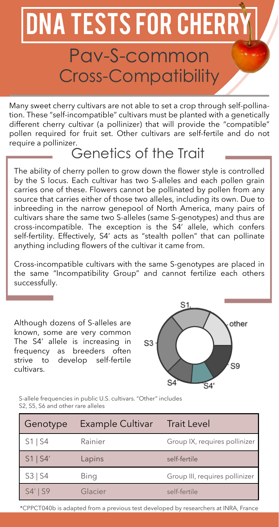## DNA TESTS FOR CHERR

### Pav-S-common Cross-Compatibility

Many sweet cherry cultivars are not able to set a crop through self-pollination. These "self-incompatible" cultivars must be planted with a genetically different cherry cultivar (a pollinizer) that will provide the "compatible" pollen required for fruit set. Other cultivars are self-fertile and do not require a pollinizer.

#### Genetics of the Trait

The ability of cherry pollen to grow down the flower style is controlled by the S locus. Each cultivar has two S-alleles and each pollen grain carries one of these. Flowers cannot be pollinated by pollen from any source that carries either of those two alleles, including its own. Due to inbreeding in the narrow genepool of North America, many pairs of cultivars share the same two S-alleles (same S-genotypes) and thus are cross-incompatible. The exception is the S4' allele, which confers self-fertility. Effectively, S4' acts as "stealth pollen" that can pollinate anything including flowers of the cultivar it came from.

Cross-incompatible cultivars with the same S-genotypes are placed in the same "Incompatibility Group" and cannot fertilize each others successfully.

Although dozens of S-alleles are known, some are very common The S4' allele is increasing in frequency as breeders often strive to develop self-fertile cultivars.



S-allele frequencies in public U.S. cultivars. "Other" includes S2, S5, S6 and other rare alleles

| Genotype   | Example Cultivar | <b>Trait Level</b>             |
|------------|------------------|--------------------------------|
| $S1$ S4    | Rainier          | Group IX, requires pollinizer  |
| $S1$   S4' | Lapins           | self-fertile                   |
| S3   S4    | Bing             | Group III, requires pollinizer |
| $S4'$ S9   | Glacier          | self-fertile                   |

\*CPPCT040b is adapted from a previous test developed by researchers at INRA, France